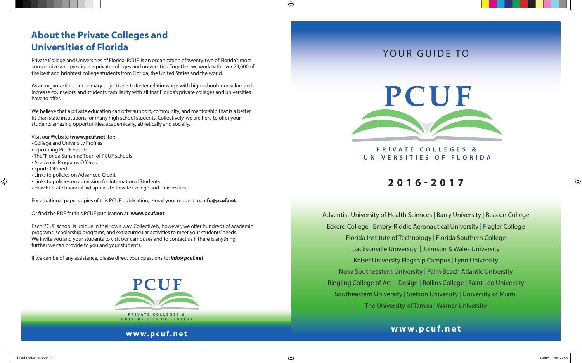## **About the Private Colleges and Universities of Florida**

Private College and Universities of Florida, PCUF, is an organization of twenty-two of Florida's most competitive and prestigious private colleges and universities. Together we work with over 79,000 of the best and brightest college students from Florida, the United States and the world.

As an organization, our primary objective is to foster relationships with high school counselors and increase counselors' and students' familiarity with all that Florida's private colleges and universities have to offer.

We believe that a private education can offer support, community, and mentorship that is a better fit than state institutions for many high school students. Collectively, we are here to offer your students amazing opportunities, academically, athletically and socially.

Visit our Website (**www.pcuf.net**) for:

- College and University Profiles
- Upcoming PCUF Events
- The "Florida Sunshine Tour" of PCUF schools
- Academic Programs Offered
- Sports Offered

⊕

- Links to policies on Advanced Credit
- Links to policies on admission for International Students
- How FL state financial aid applies to Private College and Universities

For additional paper copies of this PCUF publication, e-mail your request to: **info@pcuf.net**

Or find the PDF for this PCUF publication at: **www.pcuf.net**

Each PCUF school is unique in their own way. Collectively, however, we offer hundreds of academic programs, scholarship programs, and extracurricular activities to meet your students' needs. We invite you and your students to visit our campuses and to contact us if there is anything further we can provide to you and your students.

If we can be of any assistance, please direct your questions to: *info@pcuf.net*



JNIVERSITIES OF FLORIDA

#### **www.pcuf.net**

## YOUR GUIDE TO



PRIVATE COLLEGES & UNIVERSITIES OF FLORIDA

# **2016-2017**

Adventist University of Health Sciences | Barry University | Beacon College Eckerd College | Embry-Riddle Aeronautical University | Flagler College Florida Institute of Technology | Florida Southern College Jacksonville University | Johnson & Wales University Keiser University Flagship Campus | Lynn University Nova Southeastern University | Palm Beach Atlantic University Ringling College of Art + Design | Rollins College | Saint Leo University Southeastern University | Stetson University | University of Miami The University of Tampa | Warner University

### **www.pcuf.net**

⊕